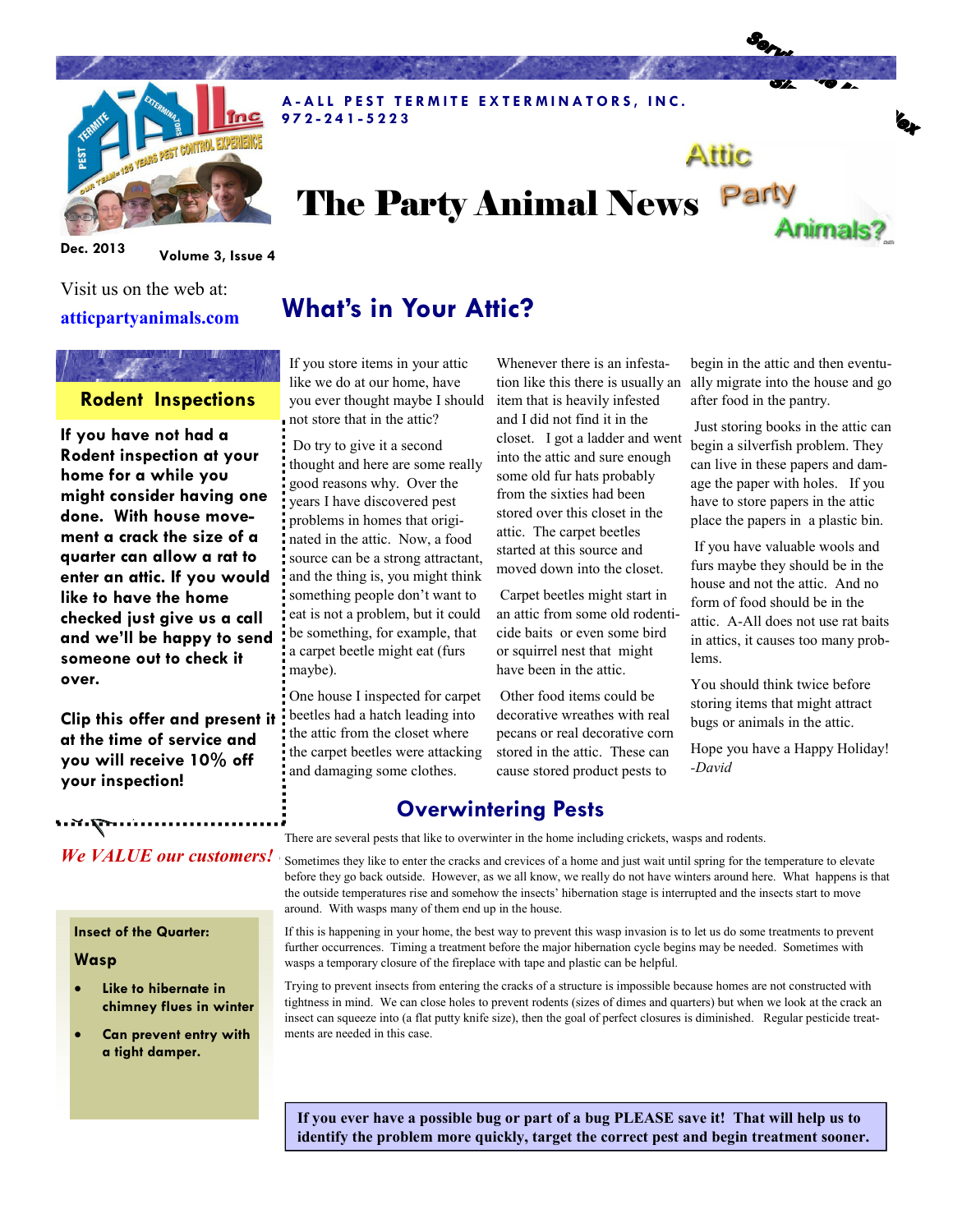

# The Party Animal News Party Animals?

A-ALL PEST TERMITE EXTERMINATORS, INC.

Dec. 2013 Volume 3, Issue 4

## Visit us on the web at: atticpartyanimals.com

### Rodent Inspections

If you have not had a Rodent inspection at your home for a while you might consider having one done. With house movement a crack the size of a quarter can allow a rat to enter an attic. If you would like to have the home checked just give us a call and we'll be happy to send someone out to check it over.

Clip this offer and present it at the time of service and you will receive 10% off your inspection!

# What's in Your Attic?

If you store items in your attic like we do at our home, have you ever thought maybe I should not store that in the attic?

9 7 2 - 2 4 1 - 5 2 2 3

 Do try to give it a second thought and here are some really good reasons why. Over the years I have discovered pest problems in homes that originated in the attic. Now, a food source can be a strong attractant, and the thing is, you might think something people don't want to eat is not a problem, but it could be something, for example, that a carpet beetle might eat (furs maybe).

One house I inspected for carpet beetles had a hatch leading into the attic from the closet where the carpet beetles were attacking and damaging some clothes.

Whenever there is an infestaitem that is heavily infested and I did not find it in the closet. I got a ladder and went into the attic and sure enough some old fur hats probably from the sixties had been stored over this closet in the attic. The carpet beetles started at this source and moved down into the closet.

 Carpet beetles might start in an attic from some old rodenticide baits or even some bird or squirrel nest that might have been in the attic.

 Other food items could be decorative wreathes with real pecans or real decorative corn stored in the attic. These can cause stored product pests to

tion like this there is usually an ally migrate into the house and go begin in the attic and then eventuafter food in the pantry.

Attic

 Just storing books in the attic can begin a silverfish problem. They can live in these papers and damage the paper with holes. If you have to store papers in the attic place the papers in a plastic bin.

 If you have valuable wools and furs maybe they should be in the house and not the attic. And no form of food should be in the attic. A-All does not use rat baits in attics, it causes too many problems.

You should think twice before storing items that might attract bugs or animals in the attic.

Hope you have a Happy Holiday! -David

## Overwintering Pests

There are several pests that like to overwinter in the home including crickets, wasps and rodents.

Sometimes they like to enter the cracks and crevices of a home and just wait until spring for the temperature to elevate before they go back outside. However, as we all know, we really do not have winters around here. What happens is that the outside temperatures rise and somehow the insects' hibernation stage is interrupted and the insects start to move around. With wasps many of them end up in the house.

If this is happening in your home, the best way to prevent this wasp invasion is to let us do some treatments to prevent further occurrences. Timing a treatment before the major hibernation cycle begins may be needed. Sometimes with wasps a temporary closure of the fireplace with tape and plastic can be helpful.

Trying to prevent insects from entering the cracks of a structure is impossible because homes are not constructed with tightness in mind. We can close holes to prevent rodents (sizes of dimes and quarters) but when we look at the crack an insect can squeeze into (a flat putty knife size), then the goal of perfect closures is diminished. Regular pesticide treatments are needed in this case.

If you ever have a possible bug or part of a bug PLEASE save it! That will help us to identify the problem more quickly, target the correct pest and begin treatment sooner.

## We VALUE our customers!

#### Insect of the Quarter:

#### Wasp

- Like to hibernate in chimney flues in winter
- Can prevent entry with a tight damper.